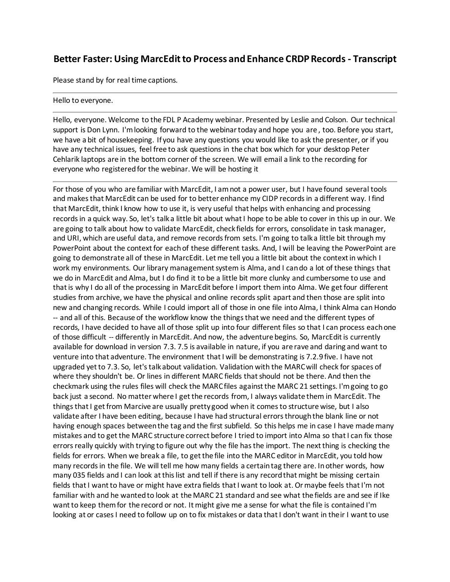## **Better Faster: Using MarcEdit to Process and Enhance CRDP Records - Transcript**

Please stand by for real time captions.

## Hello to everyone.

Hello, everyone. Welcome to the FDL P Academy webinar. Presented by Leslie and Colson. Our technical support is Don Lynn. I'm looking forward to the webinar today and hope you are , too. Before you start, we have a bit of housekeeping. If you have any questions you would like to ask the presenter, or if you have any technical issues, feel free to ask questions in the chat box which for your desktop Peter Cehlarik laptops are in the bottom corner of the screen. We will email a link to the recording for everyone who registered for the webinar. We will be hosting it

For those of you who are familiar with MarcEdit, I am not a power user, but I have found several tools and makes that MarcEdit can be used for to better enhance my CIDP records in a different way. I find that MarcEdit, think I know how to use it, is very useful that helps with enhancing and processing records in a quick way. So, let's talk a little bit about what I hope to be able to cover in this up in our. We are going to talk about how to validate MarcEdit, check fields for errors, consolidate in task manager, and URI, which are useful data, and remove records from sets. I'm going to talk a little bit through my PowerPoint about the context for each of these different tasks. And, I will be leaving the PowerPoint are going to demonstrate all of these in MarcEdit. Let me tell you a little bit about the context in which I work my environments. Our library management system is Alma, and I can do a lot of these things that we do in MarcEdit and Alma, but I do find it to be a little bit more clunky and cumbersome to use and that is why I do all of the processing in MarcEdit before I import them into Alma. We get four different studies from archive, we have the physical and online records split apart and then those are split into new and changing records. While I could import all of those in one file into Alma, I think Alma can Hondo -- and all of this. Because of the workflow know the things that we need and the different types of records, I have decided to have all of those split up into four different files so that I can process each one of those difficult -- differently in MarcEdit. And now, the adventure begins. So, MarcEdit is currently available for download in version 7.3. 7.5 is available in nature, if you are rave and daring and want to venture into that adventure. The environment that I will be demonstrating is 7.2.9 five. I have not upgraded yet to 7.3. So, let's talk about validation. Validation with the MARC will check for spaces of where they shouldn't be. Or lines in different MARC fields that should not be there. And then the checkmark using the rules files will check the MARC files against the MARC 21 settings. I'm going to go back just a second. No matter where I get the records from, I always validate them in MarcEdit. The things that I get from Marcive are usually pretty good when it comes to structure wise, but I also validate after I have been editing, because I have had structural errors through the blank line or not having enough spaces between the tag and the first subfield. So this helps me in case I have made many mistakes and to get the MARC structure correct before I tried to import into Alma so that I can fix those errors really quickly with trying to figure out why the file has the import. The next thing is checking the fields for errors. When we break a file, to get the file into the MARC editor in MarcEdit, you told how many records in the file. We will tell me how many fields a certain tag there are. In other words, how many 035 fields and I can look at this list and tell if there is any record that might be missing certain fields that I want to have or might have extra fields that I want to look at. Or maybe feels that I'm not familiar with and he wanted to look at the MARC 21 standard and see what the fields are and see if Ike want to keep them for the record or not. It might give me a sense for what the file is contained I'm looking at or cases I need to follow up on to fix mistakes or data that I don't want in their I want to use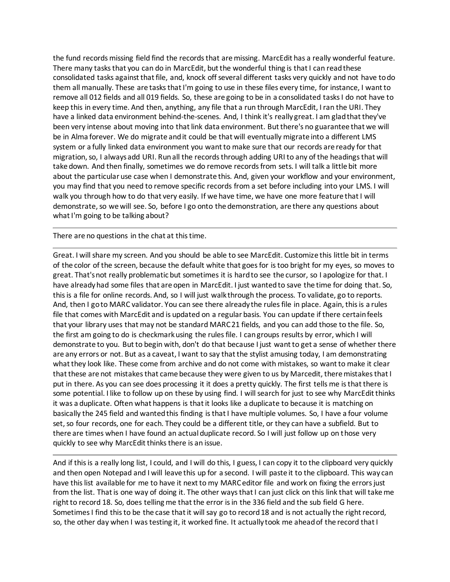the fund records missing field find the records that are missing. MarcEdit has a really wonderful feature. There many tasks that you can do in MarcEdit, but the wonderful thing is that I can read these consolidated tasks against that file, and, knock off several different tasks very quickly and not have to do them all manually. These are tasks that I'm going to use in these files every time, for instance, I want to remove all 012 fields and all 019 fields. So, these are going to be in a consolidated tasks I do not have to keep this in every time. And then, anything, any file that a run through MarcEdit, I ran the URI. They have a linked data environment behind-the-scenes. And, I think it's really great. I am glad that they've been very intense about moving into that link data environment. But there's no guarantee that we will be in Alma forever. We do migrate and it could be that will eventually migrate into a different LMS system or a fully linked data environment you want to make sure that our records are ready for that migration, so, I always add URI. Run all the records through adding URI to any of the headings that will take down. And then finally, sometimes we do remove records from sets. I will talk a little bit more about the particular use case when I demonstrate this. And, given your workflow and your environment, you may find that you need to remove specific records from a set before including into your LMS. I will walk you through how to do that very easily. If we have time, we have one more feature that I will demonstrate, so we will see. So, before I go onto the demonstration, are there any questions about what I'm going to be talking about?

There are no questions in the chat at this time.

Great. I will share my screen. And you should be able to see MarcEdit. Customize this little bit in terms of the color of the screen, because the default white that goes for is too bright for my eyes, so moves to great. That's not really problematic but sometimes it is hard to see the cursor, so I apologize for that. I have already had some files that are open in MarcEdit. I just wanted to save the time for doing that. So, this is a file for online records. And, so I will just walk through the process. To validate, go to reports. And, then I go to MARC validator. You can see there already the rules file in place. Again, this is a rules file that comes with MarcEdit and is updated on a regular basis. You can update if there certain feels that your library uses that may not be standard MARC 21 fields, and you can add those to the file. So, the first am going to do is checkmark using the rules file. I can groups results by error, which I will demonstrate to you. But to begin with, don't do that because I just want to get a sense of whether there are any errors or not. But as a caveat, I want to say that the stylist amusing today, I am demonstrating what they look like. These come from archive and do not come with mistakes, so want to make it clear that these are not mistakes that came because they were given to us by Marcedit, there mistakes that I put in there. As you can see does processing it it does a pretty quickly. The first tells me is that there is some potential. I like to follow up on these by using find. I will search for just to see why MarcEdit thinks it was a duplicate. Often what happens is that it looks like a duplicate to because it is matching on basically the 245 field and wanted this finding is that I have multiple volumes. So, I have a four volume set, so four records, one for each. They could be a different title, or they can have a subfield. But to there are times when I have found an actual duplicate record. So I will just follow up on those very quickly to see why MarcEdit thinks there is an issue.

And if this is a really long list, I could, and I will do this, I guess, I can copy it to the clipboard very quickly and then open Notepad and I will leave this up for a second. I will paste it to the clipboard. This way can have this list available for me to have it next to my MARC editor file and work on fixing the errors just from the list. That is one way of doing it. The other ways that I can just click on this link that will take me right to record 18. So, does telling me that the error is in the 336 field and the sub field G here. Sometimes I find this to be the case that it will say go to record 18 and is not actually the right record, so, the other day when I was testing it, it worked fine. It actually took me ahead of the record that I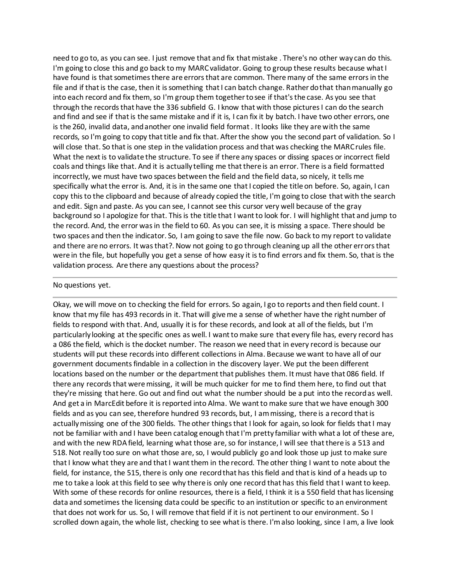need to go to, as you can see. I just remove that and fix that mistake . There's no other way can do this. I'm going to close this and go back to my MARC validator. Going to group these results because what I have found is that sometimes there are errors that are common. There many of the same errors in the file and if that is the case, then it is something that I can batch change. Rather do that than manually go into each record and fix them, so I'm group them together to see if that's the case. As you see that through the records that have the 336 subfield G. I know that with those pictures I can do the search and find and see if that is the same mistake and if it is, I can fix it by batch. I have two other errors, one is the 260, invalid data, and another one invalid field format . It looks like they are with the same records, so I'm going to copy that title and fix that. After the show you the second part of validation. So I will close that. So that is one step in the validation process and that was checking the MARC rules file. What the next is to validate the structure. To see if there any spaces or dissing spaces or incorrect field coals and things like that. And it is actually telling me that there is an error. There is a field formatted incorrectly, we must have two spaces between the field and the field data, so nicely, it tells me specifically what the error is. And, it is in the same one that I copied the title on before. So, again, I can copy this to the clipboard and because of already copied the title, I'm going to close that with the search and edit. Sign and paste. As you can see, I cannot see this cursor very well because of the gray background so I apologize for that. This is the title that I want to look for. I will highlight that and jump to the record. And, the error was in the field to 60. As you can see, it is missing a space. There should be two spaces and then the indicator. So, I am going to save the file now. Go back to my report to validate and there are no errors. It was that?. Now not going to go through cleaning up all the other errors that were in the file, but hopefully you get a sense of how easy it is to find errors and fix them. So, that is the validation process. Are there any questions about the process?

## No questions yet.

Okay, we will move on to checking the field for errors. So again, I go to reports and then field count. I know that my file has 493 records in it. That will give me a sense of whether have the right number of fields to respond with that. And, usually it is for these records, and look at all of the fields, but I'm particularly looking at the specific ones as well. I want to make sure that every file has, every record has a 086 the field, which is the docket number. The reason we need that in every record is because our students will put these records into different collections in Alma. Because we want to have all of our government documents findable in a collection in the discovery layer. We put the been different locations based on the number or the department that publishes them. It must have that 086 field. If there any records that were missing, it will be much quicker for me to find them here, to find out that they're missing that here. Go out and find out what the number should be a put into the record as well. And get a in MarcEdit before it is reported into Alma. We want to make sure that we have enough 300 fields and as you can see, therefore hundred 93 records, but, I am missing, there is a record that is actually missing one of the 300 fields. The other things that I look for again, so look for fields that I may not be familiar with and I have been catalog enough that I'm pretty familiar with what a lot of these are, and with the new RDA field, learning what those are, so for instance, I will see that there is a 513 and 518. Not really too sure on what those are, so, I would publicly go and look those up just to make sure that I know what they are and that I want them in the record. The other thing I want to note about the field, for instance, the 515, there is only one record that has this field and that is kind of a heads up to me to take a look at this field to see why there is only one record that has this field that I want to keep. With some of these records for online resources, there is a field, I think it is a 550 field that has licensing data and sometimes the licensing data could be specific to an institution or specific to an environment that does not work for us. So, I will remove that field if it is not pertinent to our environment. So I scrolled down again, the whole list, checking to see what is there. I'm also looking, since I am, a live look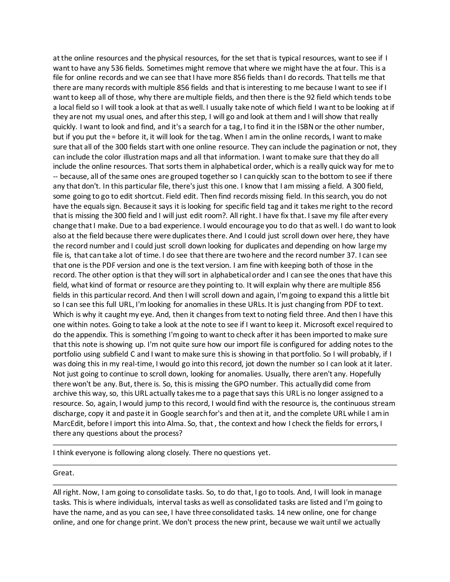at the online resources and the physical resources, for the set that is typical resources, want to see if I want to have any 536 fields. Sometimes might remove that where we might have the at four. This is a file for online records and we can see that I have more 856 fields than I do records. That tells me that there are many records with multiple 856 fields and that is interesting to me because I want to see if I want to keep all of those, why there are multiple fields, and then there is the 92 field which tends to be a local field so I will took a look at that as well. I usually take note of which field I want to be looking at if they are not my usual ones, and after this step, I will go and look at them and I will show that really quickly. I want to look and find, and it's a search for a tag, I to find it in the ISBN or the other number, but if you put the = before it, it will look for the tag. When I am in the online records, I want to make sure that all of the 300 fields start with one online resource. They can include the pagination or not, they can include the color illustration maps and all that information. I want to make sure that they do all include the online resources. That sorts them in alphabetical order, which is a really quick way for me to -- because, all of the same ones are grouped together so I can quickly scan to the bottom to see if there any that don't. In this particular file, there's just this one. I know that I am missing a field. A 300 field, some going to go to edit shortcut. Field edit. Then find records missing field. In this search, you do not have the equals sign. Because it says it is looking for specific field tag and it takes me right to the record that is missing the 300 field and I will just edit room?. All right. I have fix that. I save my file after every change that I make. Due to a bad experience. I would encourage you to do that as well. I do want to look also at the field because there were duplicates there. And I could just scroll down over here, they have the record number and I could just scroll down looking for duplicates and depending on how large my file is, that can take a lot of time. I do see that there are two here and the record number 37. I can see that one is the PDF version and one is the text version. I am fine with keeping both of those in the record. The other option is that they will sort in alphabetical order and I can see the ones that have this field, what kind of format or resource are they pointing to. It will explain why there are multiple 856 fields in this particular record. And then I will scroll down and again, I'm going to expand this a little bit so I can see this full URL, I'm looking for anomalies in these URLs. It is just changing from PDF to text. Which is why it caught my eye. And, then it changes from text to noting field three. And then I have this one within notes. Going to take a look at the note to see if I want to keep it. Microsoft excel required to do the appendix. This is something I'm going to want to check after it has been imported to make sure that this note is showing up. I'm not quite sure how our import file is configured for adding notes to the portfolio using subfield C and I want to make sure this is showing in that portfolio. So I will probably, if I was doing this in my real-time, I would go into this record, jot down the number so I can look at it later. Not just going to continue to scroll down, looking for anomalies. Usually, there aren't any. Hopefully there won't be any. But, there is. So, this is missing the GPO number. This actually did come from archive this way, so, this URL actually takes me to a page that says this URL is no longer assigned to a resource. So, again, I would jump to this record, I would find with the resource is, the continuous stream discharge, copy it and paste it in Google search for's and then at it, and the complete URL while I am in MarcEdit, before I import this into Alma. So, that, the context and how I check the fields for errors, I there any questions about the process?

I think everyone is following along closely. There no questions yet.

Great.

All right. Now, I am going to consolidate tasks. So, to do that, I go to tools. And, I will look in manage tasks. This is where individuals, interval tasks as well as consolidated tasks are listed and I'm going to have the name, and as you can see, I have three consolidated tasks. 14 new online, one for change online, and one for change print. We don't process the new print, because we wait until we actually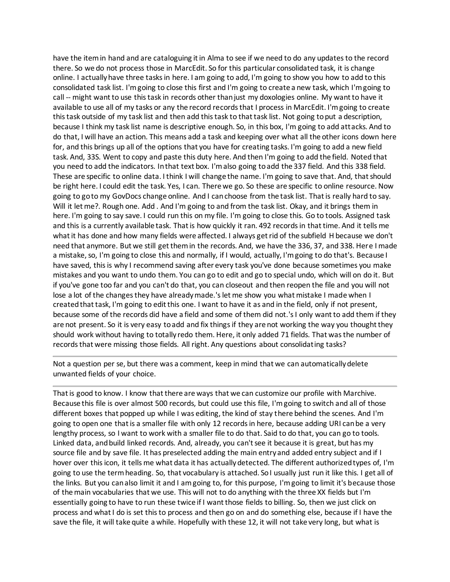have the item in hand and are cataloguing it in Alma to see if we need to do any updates to the record there. So we do not process those in MarcEdit. So for this particular consolidated task, it is change online. I actually have three tasks in here. I am going to add, I'm going to show you how to add to this consolidated task list. I'm going to close this first and I'm going to create a new task, which I'm going to call -- might want to use this task in records other than just my doxologies online. My want to have it available to use all of my tasks or any the record records that I process in MarcEdit. I'm going to create this task outside of my task list and then add this task to that task list. Not going to put a description, because I think my task list name is descriptive enough. So, in this box, I'm going to add attacks. And to do that, I will have an action. This means add a task and keeping over what all the other icons down here for, and this brings up all of the options that you have for creating tasks. I'm going to add a new field task. And, 33S. Went to copy and paste this duty here. And then I'm going to add the field. Noted that you need to add the indicators. In that text box. I'm also going to add the 337 field. And this 338 field. These are specific to online data. I think I will change the name. I'm going to save that. And, that should be right here. I could edit the task. Yes, I can. There we go. So these are specific to online resource. Now going to go to my GovDocs change online. And I can choose from the task list. That is really hard to say. Will it let me?. Rough one. Add . And I'm going to and from the task list. Okay, and it brings them in here. I'm going to say save. I could run this on my file. I'm going to close this. Go to tools. Assigned task and this is a currently available task. That is how quickly it ran. 492 records in that time. And it tells me what it has done and how many fields were affected. I always get rid of the subfield H because we don't need that anymore. But we still get them in the records. And, we have the 336, 37, and 338. Here I made a mistake, so, I'm going to close this and normally, if I would, actually, I'm going to do that's. Because I have saved, this is why I recommend saving after every task you've done because sometimes you make mistakes and you want to undo them. You can go to edit and go to special undo, which will on do it. But if you've gone too far and you can't do that, you can closeout and then reopen the file and you will not lose a lot of the changes they have already made.'s let me show you what mistake I made when I created that task, I'm going to edit this one. I want to have it as and in the field, only if not present, because some of the records did have a field and some of them did not.'s I only want to add them if they are not present. So it is very easy to add and fix things if they are not working the way you thought they should work without having to totally redo them. Here, it only added 71 fields. That was the number of records that were missing those fields. All right. Any questions about consolidating tasks?

Not a question per se, but there was a comment, keep in mind that we can automatically delete unwanted fields of your choice.

That is good to know. I know that there are ways that we can customize our profile with Marchive. Because this file is over almost 500 records, but could use this file, I'm going to switch and all of those different boxes that popped up while I was editing, the kind of stay there behind the scenes. And I'm going to open one that is a smaller file with only 12 records in here, because adding URI can be a very lengthy process, so I want to work with a smaller file to do that. Said to do that, you can go to tools. Linked data, and build linked records. And, already, you can't see it because it is great, but has my source file and by save file. It has preselected adding the main entry and added entry subject and if I hover over this icon, it tells me what data it has actually detected. The different authorized types of, I'm going to use the term heading. So, that vocabulary is attached. So I usually just run it like this. I get all of the links. But you can also limit it and I am going to, for this purpose, I'm going to limit it's because those of the main vocabularies that we use. This will not to do anything with the three XX fields but I'm essentially going to have to run these twice if I want those fields to billing. So, then we just click on process and what I do is set this to process and then go on and do something else, because if I have the save the file, it will take quite a while. Hopefully with these 12, it will not take very long, but what is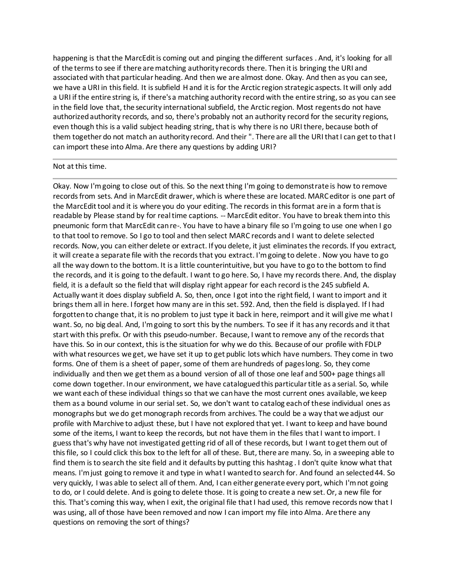happening is that the MarcEdit is coming out and pinging the different surfaces . And, it's looking for all of the terms to see if there are matching authority records there. Then it is bringing the URI and associated with that particular heading. And then we are almost done. Okay. And then as you can see, we have a URI in this field. It is subfield H and it is for the Arctic region strategic aspects. It will only add a URI if the entire string is, if there's a matching authority record with the entire string, so as you can see in the field love that, the security international subfield, the Arctic region. Most regents do not have authorized authority records, and so, there's probably not an authority record for the security regions, even though this is a valid subject heading string, that is why there is no URI there, because both of them together do not match an authority record. And their ". There are all the URI that I can get to that I can import these into Alma. Are there any questions by adding URI?

## Not at this time.

Okay. Now I'm going to close out of this. So the next thing I'm going to demonstrate is how to remove records from sets. And in MarcEdit drawer, which is where these are located. MARC editor is one part of the MarcEdit tool and it is where you do your editing. The records in this format are in a form that is readable by Please stand by for real time captions. -- MarcEdit editor. You have to break them into this pneumonic form that MarcEdit can re-. You have to have a binary file so I'm going to use one when I go to that tool to remove. So I go to tool and then select MARC records and I want to delete selected records. Now, you can either delete or extract. If you delete, it just eliminates the records. If you extract, it will create a separate file with the records that you extract. I'm going to delete . Now you have to go all the way down to the bottom. It is a little counterintuitive, but you have to go to the bottom to find the records, and it is going to the default. I want to go here. So, I have my records there. And, the display field, it is a default so the field that will display right appear for each record is the 245 subfield A. Actually want it does display subfield A. So, then, once I got into the right field, I want to import and it brings them all in here. I forget how many are in this set. 592. And, then the field is displayed. If I had forgotten to change that, it is no problem to just type it back in here, reimport and it will give me what I want. So, no big deal. And, I'm going to sort this by the numbers. To see if it has any records and it that start with this prefix. Or with this pseudo-number. Because, I want to remove any of the records that have this. So in our context, this is the situation for why we do this. Because of our profile with FDLP with what resources we get, we have set it up to get public lots which have numbers. They come in two forms. One of them is a sheet of paper, some of them are hundreds of pages long. So, they come individually and then we get them as a bound version of all of those one leaf and 500+ page things all come down together. In our environment, we have catalogued this particular title as a serial. So, while we want each of these individual things so that we can have the most current ones available, we keep them as a bound volume in our serial set. So, we don't want to catalog each of these individual ones as monographs but we do get monograph records from archives. The could be a way that we adjust our profile with Marchive to adjust these, but I have not explored that yet. I want to keep and have bound some of the items, I want to keep the records, but not have them in the files that I want to import. I guess that's why have not investigated getting rid of all of these records, but I want to get them out of this file, so I could click this box to the left for all of these. But, there are many. So, in a sweeping able to find them is to search the site field and it defaults by putting this hashtag . I don't quite know what that means. I'm just going to remove it and type in what I wanted to search for. And found an selected 44. So very quickly, I was able to select all of them. And, I can either generate every port, which I'm not going to do, or I could delete. And is going to delete those. It is going to create a new set. Or, a new file for this. That's coming this way, when I exit, the original file that I had used, this remove records now that I was using, all of those have been removed and now I can import my file into Alma. Are there any questions on removing the sort of things?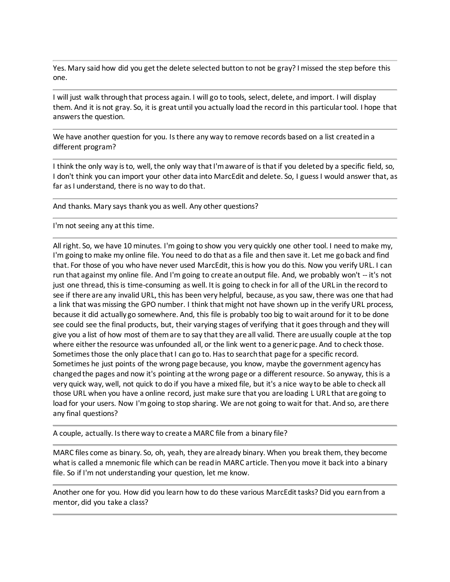Yes. Mary said how did you get the delete selected button to not be gray? I missed the step before this one.

I will just walk through that process again. I will go to tools, select, delete, and import. I will display them. And it is not gray. So, it is great until you actually load the record in this particular tool. I hope that answers the question.

We have another question for you. Is there any way to remove records based on a list created in a different program?

I think the only way is to, well, the only way that I'm aware of is that if you deleted by a specific field, so, I don't think you can import your other data into MarcEdit and delete. So, I guess I would answer that, as far as I understand, there is no way to do that.

And thanks. Mary says thank you as well. Any other questions?

I'm not seeing any at this time.

All right. So, we have 10 minutes. I'm going to show you very quickly one other tool. I need to make my, I'm going to make my online file. You need to do that as a file and then save it. Let me go back and find that. For those of you who have never used MarcEdit, this is how you do this. Now you verify URL. I can run that against my online file. And I'm going to create an output file. And, we probably won't -- it's not just one thread, this is time-consuming as well. It is going to check in for all of the URL in the record to see if there are any invalid URL, this has been very helpful, because, as you saw, there was one that had a link that was missing the GPO number. I think that might not have shown up in the verify URL process, because it did actually go somewhere. And, this file is probably too big to wait around for it to be done see could see the final products, but, their varying stages of verifying that it goes through and they will give you a list of how most of them are to say that they are all valid. There are usually couple at the top where either the resource was unfounded all, or the link went to a generic page. And to check those. Sometimes those the only place that I can go to. Has to search that page for a specific record. Sometimes he just points of the wrong page because, you know, maybe the government agency has changed the pages and now it's pointing at the wrong page or a different resource. So anyway, this is a very quick way, well, not quick to do if you have a mixed file, but it's a nice way to be able to check all those URL when you have a online record, just make sure that you are loading L URL that are going to load for your users. Now I'm going to stop sharing. We are not going to wait for that. And so, are there any final questions?

A couple, actually. Is there way to create a MARC file from a binary file?

MARC files come as binary. So, oh, yeah, they are already binary. When you break them, they become what is called a mnemonic file which can be read in MARC article. Then you move it back into a binary file. So if I'm not understanding your question, let me know.

Another one for you. How did you learn how to do these various MarcEdit tasks? Did you earn from a mentor, did you take a class?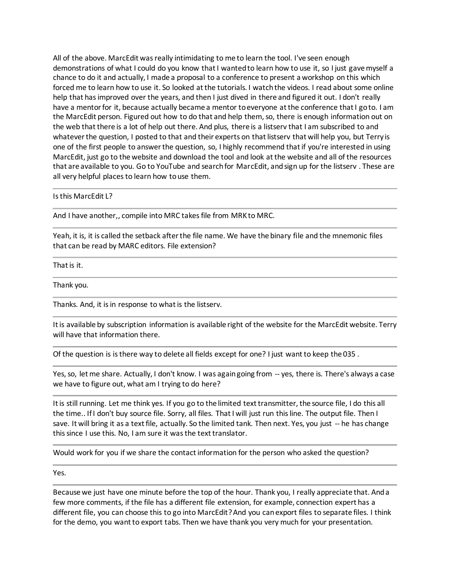All of the above. MarcEdit was really intimidating to me to learn the tool. I've seen enough demonstrations of what I could do you know that I wanted to learn how to use it, so I just gave myself a chance to do it and actually, I made a proposal to a conference to present a workshop on this which forced me to learn how to use it. So looked at the tutorials. I watch the videos. I read about some online help that has improved over the years, and then I just dived in there and figured it out. I don't really have a mentor for it, because actually became a mentor to everyone at the conference that I go to. I am the MarcEdit person. Figured out how to do that and help them, so, there is enough information out on the web that there is a lot of help out there. And plus, there is a listserv that I am subscribed to and whatever the question, I posted to that and their experts on that listserv that will help you, but Terry is one of the first people to answer the question, so, I highly recommend that if you're interested in using MarcEdit, just go to the website and download the tool and look at the website and all of the resources that are available to you. Go to YouTube and search for MarcEdit, and sign up for the listserv . These are all very helpful places to learn how to use them.

Is this MarcEdit L?

And I have another,, compile into MRC takes file from MRK to MRC.

Yeah, it is, it is called the setback after the file name. We have the binary file and the mnemonic files that can be read by MARC editors. File extension?

That is it.

Thank you.

Thanks. And, it is in response to what is the listserv.

It is available by subscription information is available right of the website for the MarcEdit website. Terry will have that information there.

Of the question is is there way to delete all fields except for one? I just want to keep the 035 .

Yes, so, let me share. Actually, I don't know. I was again going from -- yes, there is. There's always a case we have to figure out, what am I trying to do here?

It is still running. Let me think yes. If you go to the limited text transmitter, the source file, I do this all the time.. If I don't buy source file. Sorry, all files. That I will just run this line. The output file. Then I save. It will bring it as a text file, actually. So the limited tank. Then next. Yes, you just -- he has change this since I use this. No, I am sure it was the text translator.

Would work for you if we share the contact information for the person who asked the question?

Yes.

Because we just have one minute before the top of the hour. Thank you, I really appreciate that. And a few more comments, if the file has a different file extension, for example, connection expert has a different file, you can choose this to go into MarcEdit? And you can export files to separate files. I think for the demo, you want to export tabs. Then we have thank you very much for your presentation.